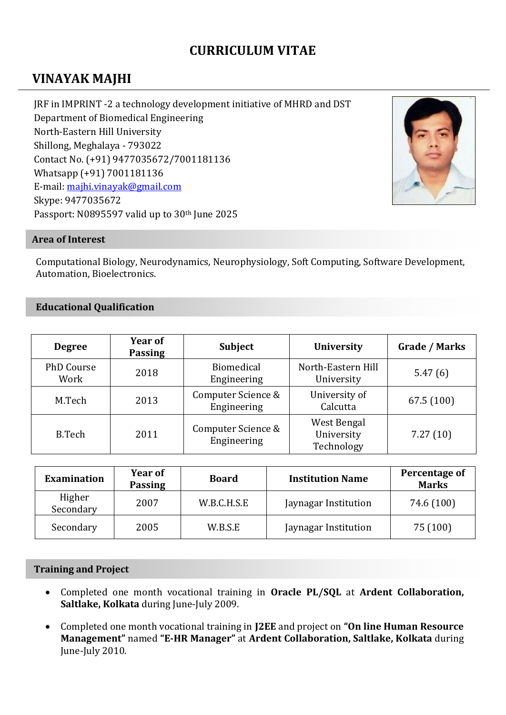# **CURRICULUM VITAE**

# **VINAYAK MAJHI**

JRF in IMPRINT -2 a technology development initiative of MHRD and DST Department of Biomedical Engineering North-Eastern Hill University Shillong, Meghalaya - 793022 Contact No. (+91) 9477035672/7001181136 Whatsapp (+91) 7001181136 E-mail: [majhi.vinayak@gmail.com](mailto:majhi.vinayak@gmail.com) Skype: 9477035672 Passport: N0895597 valid up to 30th June 2025



#### **Area of Interest**

Computational Biology, Neurodynamics, Neurophysiology, Soft Computing, Software Development, Automation, Bioelectronics.

# **Educational Qualification**

| <b>Degree</b>             | Year of<br><b>Passing</b> | <b>Subject</b>                    | <b>University</b>                       | <b>Grade / Marks</b> |
|---------------------------|---------------------------|-----------------------------------|-----------------------------------------|----------------------|
| <b>PhD Course</b><br>Work | 2018                      | <b>Biomedical</b><br>Engineering  | North-Eastern Hill<br>University        | 5.47(6)              |
| M.Tech                    | 2013                      | Computer Science &<br>Engineering | University of<br>Calcutta               | 67.5(100)            |
| B.Tech                    | 2011                      | Computer Science &<br>Engineering | West Bengal<br>University<br>Technology | 7.27(10)             |

| <b>Examination</b>  | Year of<br><b>Passing</b> | <b>Board</b> | <b>Institution Name</b> | Percentage of<br><b>Marks</b> |
|---------------------|---------------------------|--------------|-------------------------|-------------------------------|
| Higher<br>Secondary | 2007                      | W.B.C.H.S.E  | Jaynagar Institution    | 74.6 (100)                    |
| Secondary           | 2005                      | W.B.S.E      | Jaynagar Institution    | 75 (100)                      |

# **Training and Project**

- Completed one month vocational training in **Oracle PL/SQL** at **Ardent Collaboration, Saltlake, Kolkata** during June-July 2009.
- Completed one month vocational training in **J2EE** and project on **"On line Human Resource Management"** named **"E-HR Manager"** at **Ardent Collaboration, Saltlake, Kolkata** during June-July 2010.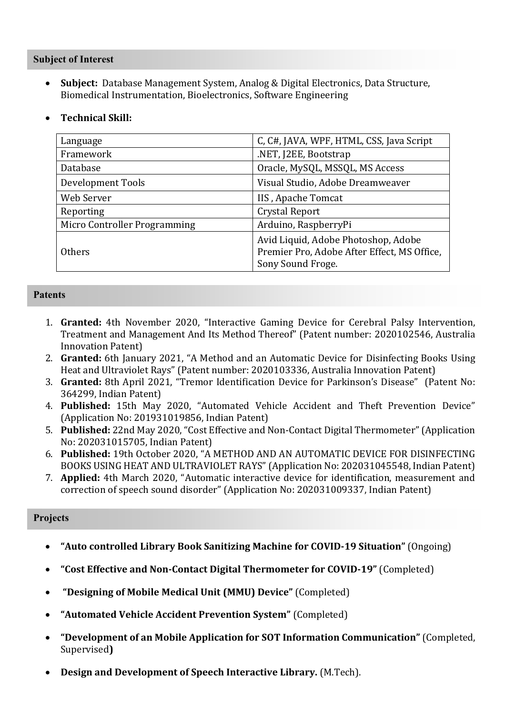### **Subject of Interest**

• **Subject:** Database Management System, Analog & Digital Electronics, Data Structure, Biomedical Instrumentation, Bioelectronics, Software Engineering

# • **Technical Skill:**

| Language                     | C, C#, JAVA, WPF, HTML, CSS, Java Script                                                                |
|------------------------------|---------------------------------------------------------------------------------------------------------|
| Framework                    | .NET, J2EE, Bootstrap                                                                                   |
| Database                     | Oracle, MySQL, MSSQL, MS Access                                                                         |
| Development Tools            | Visual Studio, Adobe Dreamweaver                                                                        |
| Web Server                   | IIS, Apache Tomcat                                                                                      |
| Reporting                    | <b>Crystal Report</b>                                                                                   |
| Micro Controller Programming | Arduino, RaspberryPi                                                                                    |
| <b>Others</b>                | Avid Liquid, Adobe Photoshop, Adobe<br>Premier Pro, Adobe After Effect, MS Office,<br>Sony Sound Froge. |

#### **Patents**

- 1. **Granted:** 4th November 2020, "Interactive Gaming Device for Cerebral Palsy Intervention, Treatment and Management And Its Method Thereof" (Patent number: 2020102546, Australia Innovation Patent)
- 2. **Granted:** 6th January 2021, "A Method and an Automatic Device for Disinfecting Books Using Heat and Ultraviolet Rays" (Patent number: 2020103336, Australia Innovation Patent)
- 3. **Granted:** 8th April 2021, "Tremor Identification Device for Parkinson's Disease" (Patent No: 364299, Indian Patent)
- 4. **Published:** 15th May 2020, "Automated Vehicle Accident and Theft Prevention Device" (Application No: 201931019856, Indian Patent)
- 5. **Published:** 22nd May 2020, "Cost Effective and Non-Contact Digital Thermometer" (Application No: 202031015705, Indian Patent)
- 6. **Published:** 19th October 2020, "A METHOD AND AN AUTOMATIC DEVICE FOR DISINFECTING BOOKS USING HEAT AND ULTRAVIOLET RAYS" (Application No: 202031045548, Indian Patent)
- 7. **Applied:** 4th March 2020, "Automatic interactive device for identification, measurement and correction of speech sound disorder" (Application No: 202031009337, Indian Patent)

# **Projects**

- **"Auto controlled Library Book Sanitizing Machine for COVID-19 Situation"** (Ongoing)
- **"Cost Effective and Non-Contact Digital Thermometer for COVID-19"** (Completed)
- **"Designing of Mobile Medical Unit (MMU) Device"** (Completed)
- **"Automated Vehicle Accident Prevention System"** (Completed)
- **"Development of an Mobile Application for SOT Information Communication"** (Completed, Supervised**)**
- **Design and Development of Speech Interactive Library.** (M.Tech).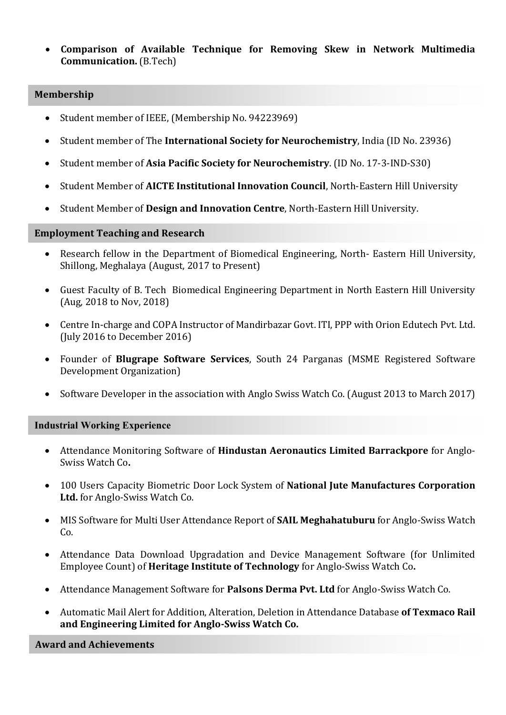• **Comparison of Available Technique for Removing Skew in Network Multimedia Communication.** (B.Tech)

#### **Membership**

- Student member of IEEE, (Membership No. 94223969)
- Student member of The **International Society for Neurochemistry**, India (ID No. 23936)
- Student member of **Asia Pacific Society for Neurochemistry**. (ID No. 17-3-IND-S30)
- Student Member of **AICTE Institutional Innovation Council**, North-Eastern Hill University
- Student Member of **Design and Innovation Centre**, North-Eastern Hill University.

#### **Employment Teaching and Research**

- Research fellow in the Department of Biomedical Engineering, North- Eastern Hill University, Shillong, Meghalaya (August, 2017 to Present)
- Guest Faculty of B. Tech Biomedical Engineering Department in North Eastern Hill University (Aug, 2018 to Nov, 2018)
- Centre In-charge and COPA Instructor of Mandirbazar Govt. ITI, PPP with Orion Edutech Pvt. Ltd. (July 2016 to December 2016)
- Founder of **Blugrape Software Services**, South 24 Parganas (MSME Registered Software Development Organization)
- Software Developer in the association with Anglo Swiss Watch Co. (August 2013 to March 2017)

# **Industrial Working Experience**

- Attendance Monitoring Software of **Hindustan Aeronautics Limited Barrackpore** for Anglo-Swiss Watch Co**.**
- 100 Users Capacity Biometric Door Lock System of **National Jute Manufactures Corporation Ltd.** for Anglo-Swiss Watch Co.
- MIS Software for Multi User Attendance Report of **SAIL Meghahatuburu** for Anglo-Swiss Watch Co.
- Attendance Data Download Upgradation and Device Management Software (for Unlimited Employee Count) of **Heritage Institute of Technology** for Anglo-Swiss Watch Co**.**
- Attendance Management Software for **Palsons Derma Pvt. Ltd** for Anglo-Swiss Watch Co.
- Automatic Mail Alert for Addition, Alteration, Deletion in Attendance Database **of Texmaco Rail and Engineering Limited for Anglo-Swiss Watch Co.**

**Award and Achievements**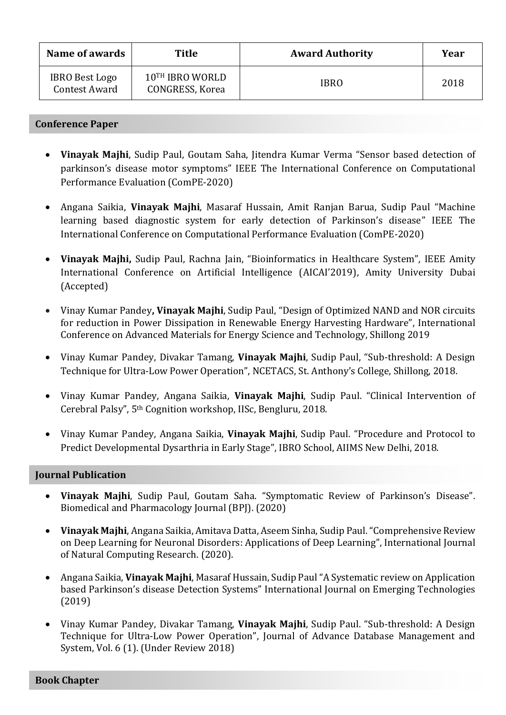| Name of awards                         | <b>Title</b>                              | <b>Award Authority</b> | Year |
|----------------------------------------|-------------------------------------------|------------------------|------|
| <b>IBRO Best Logo</b><br>Contest Award | 10TH IBRO WORLD<br><b>CONGRESS, Korea</b> | <b>IBRO</b>            | 2018 |

### **Conference Paper**

- **Vinayak Majhi**, Sudip Paul, Goutam Saha, Jitendra Kumar Verma "Sensor based detection of parkinson's disease motor symptoms" IEEE The International Conference on Computational Performance Evaluation (ComPE-2020)
- Angana Saikia, **Vinayak Majhi**, Masaraf Hussain, Amit Ranjan Barua, Sudip Paul "Machine learning based diagnostic system for early detection of Parkinson's disease" IEEE The International Conference on Computational Performance Evaluation (ComPE-2020)
- **Vinayak Majhi,** Sudip Paul, Rachna Jain, "Bioinformatics in Healthcare System", IEEE Amity International Conference on Artificial Intelligence (AICAI'2019), Amity University Dubai (Accepted)
- Vinay Kumar Pandey**, Vinayak Majhi**, Sudip Paul, "Design of Optimized NAND and NOR circuits for reduction in Power Dissipation in Renewable Energy Harvesting Hardware", International Conference on Advanced Materials for Energy Science and Technology, Shillong 2019
- Vinay Kumar Pandey, Divakar Tamang, **Vinayak Majhi**, Sudip Paul, "Sub-threshold: A Design Technique for Ultra-Low Power Operation", NCETACS, St. Anthony's College, Shillong, 2018.
- Vinay Kumar Pandey, Angana Saikia, **Vinayak Majhi**, Sudip Paul. "Clinical Intervention of Cerebral Palsy", 5th Cognition workshop, IISc, Bengluru, 2018.
- Vinay Kumar Pandey, Angana Saikia, **Vinayak Majhi**, Sudip Paul. "Procedure and Protocol to Predict Developmental Dysarthria in Early Stage", IBRO School, AIIMS New Delhi, 2018.

#### **Journal Publication**

- **Vinayak Majhi**, Sudip Paul, Goutam Saha. "Symptomatic Review of Parkinson's Disease". Biomedical and Pharmacology Journal (BPJ). (2020)
- **Vinayak Majhi**, Angana Saikia, Amitava Datta, Aseem Sinha, Sudip Paul."Comprehensive Review on Deep Learning for Neuronal Disorders: Applications of Deep Learning", International Journal of Natural Computing Research. (2020).
- Angana Saikia, **Vinayak Majhi**, Masaraf Hussain, Sudip Paul "A Systematic review on Application based Parkinson's disease Detection Systems" International Journal on Emerging Technologies (2019)
- Vinay Kumar Pandey, Divakar Tamang, **Vinayak Majhi**, Sudip Paul. "Sub-threshold: A Design Technique for Ultra-Low Power Operation", Journal of Advance Database Management and System, Vol. 6 (1). (Under Review 2018)

#### **Book Chapter**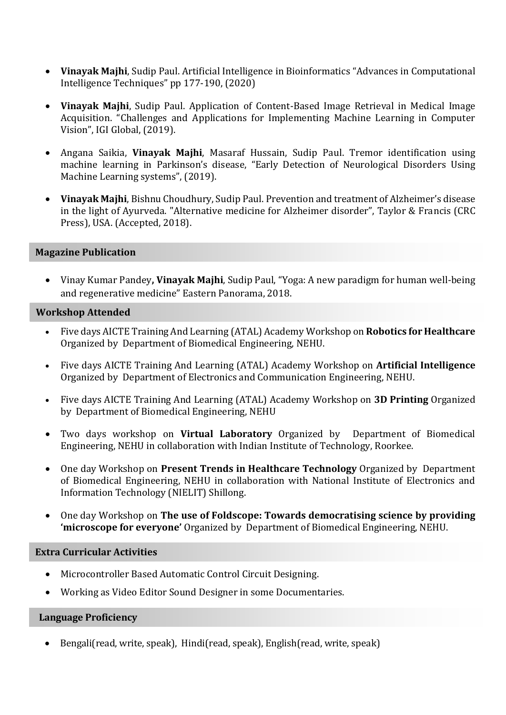- **Vinayak Majhi**, Sudip Paul. Artificial Intelligence in Bioinformatics "Advances in Computational Intelligence Techniques" pp 177-190, (2020)
- **Vinayak Majhi**, Sudip Paul. Application of Content-Based Image Retrieval in Medical Image Acquisition. "Challenges and Applications for Implementing Machine Learning in Computer Vision", IGI Global, (2019).
- Angana Saikia, **Vinayak Majhi**, Masaraf Hussain, Sudip Paul. Tremor identification using machine learning in Parkinson's disease, "Early Detection of Neurological Disorders Using Machine Learning systems", (2019).
- **Vinayak Majhi**, Bishnu Choudhury, Sudip Paul. Prevention and treatment of Alzheimer's disease in the light of Ayurveda. "Alternative medicine for Alzheimer disorder", Taylor & Francis (CRC Press), USA. (Accepted, 2018).

# **Magazine Publication**

• Vinay Kumar Pandey**, Vinayak Majhi**, Sudip Paul, "Yoga: A new paradigm for human well-being and regenerative medicine" Eastern Panorama, 2018.

#### **Workshop Attended**

- Five days AICTE Training And Learning (ATAL) Academy Workshop on **Robotics for Healthcare** Organized by Department of Biomedical Engineering, NEHU.
- Five days AICTE Training And Learning (ATAL) Academy Workshop on **Artificial Intelligence**  Organized by Department of Electronics and Communication Engineering, NEHU.
- Five days AICTE Training And Learning (ATAL) Academy Workshop on **3D Printing** Organized by Department of Biomedical Engineering, NEHU
- Two days workshop on **Virtual Laboratory** Organized by Department of Biomedical Engineering, NEHU in collaboration with Indian Institute of Technology, Roorkee.
- One day Workshop on **Present Trends in Healthcare Technology** Organized by Department of Biomedical Engineering, NEHU in collaboration with National Institute of Electronics and Information Technology (NIELIT) Shillong.
- One day Workshop on **The use of Foldscope: Towards democratising science by providing 'microscope for everyone'** Organized by Department of Biomedical Engineering, NEHU.

#### **Extra Curricular Activities**

- Microcontroller Based Automatic Control Circuit Designing.
- Working as Video Editor Sound Designer in some Documentaries.

# **Language Proficiency**

• Bengali(read, write, speak), Hindi(read, speak), English(read, write, speak)